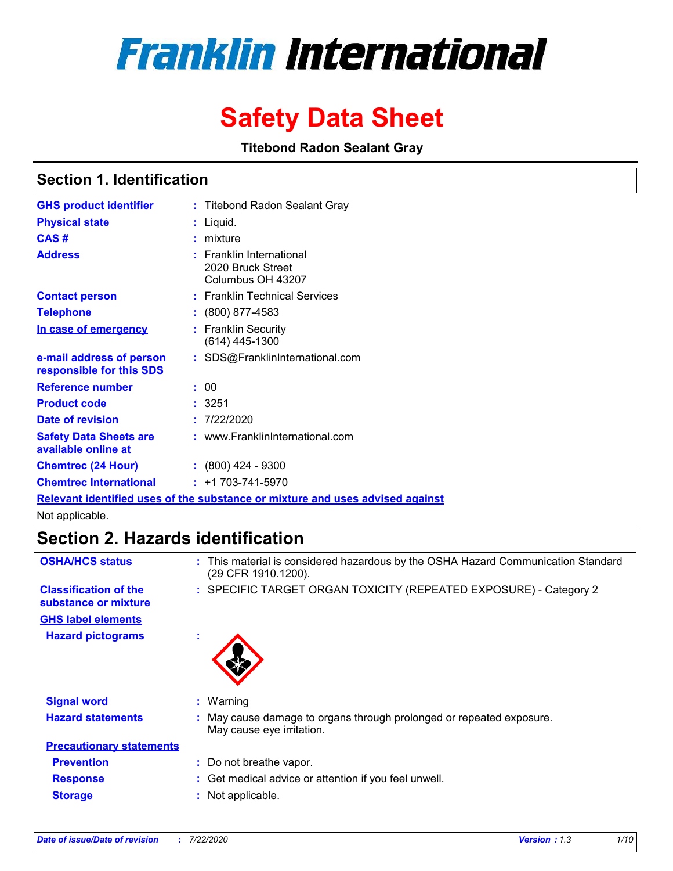# **Franklin International**

# **Safety Data Sheet**

**Titebond Radon Sealant Gray**

## **Section 1. Identification**

| <b>GHS product identifier</b>                        | : Titebond Radon Sealant Gray                                                 |
|------------------------------------------------------|-------------------------------------------------------------------------------|
| <b>Physical state</b>                                | : Liquid.                                                                     |
| CAS#                                                 | : mixture                                                                     |
| <b>Address</b>                                       | $:$ Franklin International<br>2020 Bruck Street<br>Columbus OH 43207          |
| <b>Contact person</b>                                | : Franklin Technical Services                                                 |
| <b>Telephone</b>                                     | $: (800) 877 - 4583$                                                          |
| In case of emergency                                 | : Franklin Security<br>$(614)$ 445-1300                                       |
| e-mail address of person<br>responsible for this SDS | : SDS@FranklinInternational.com                                               |
| <b>Reference number</b>                              | : 00                                                                          |
| <b>Product code</b>                                  | : 3251                                                                        |
| Date of revision                                     | : 7/22/2020                                                                   |
| <b>Safety Data Sheets are</b><br>available online at | : www.FranklinInternational.com                                               |
| <b>Chemtrec (24 Hour)</b>                            | $: (800)$ 424 - 9300                                                          |
| <b>Chemtrec International</b>                        | $: +1703 - 741 - 5970$                                                        |
|                                                      | Relevant identified uses of the substance or mixture and uses advised against |

Not applicable.

# **Section 2. Hazards identification**

| <b>OSHA/HCS status</b>                               |   | : This material is considered hazardous by the OSHA Hazard Communication Standard<br>(29 CFR 1910.1200). |
|------------------------------------------------------|---|----------------------------------------------------------------------------------------------------------|
| <b>Classification of the</b><br>substance or mixture |   | : SPECIFIC TARGET ORGAN TOXICITY (REPEATED EXPOSURE) - Category 2                                        |
| <b>GHS label elements</b>                            |   |                                                                                                          |
| <b>Hazard pictograms</b>                             | ٠ |                                                                                                          |
| <b>Signal word</b>                                   |   | $:$ Warning                                                                                              |
| <b>Hazard statements</b>                             |   | May cause damage to organs through prolonged or repeated exposure.<br>May cause eye irritation.          |
| <b>Precautionary statements</b>                      |   |                                                                                                          |
| <b>Prevention</b>                                    |   | : Do not breathe vapor.                                                                                  |
| <b>Response</b>                                      |   | : Get medical advice or attention if you feel unwell.                                                    |
| <b>Storage</b>                                       |   | Not applicable.                                                                                          |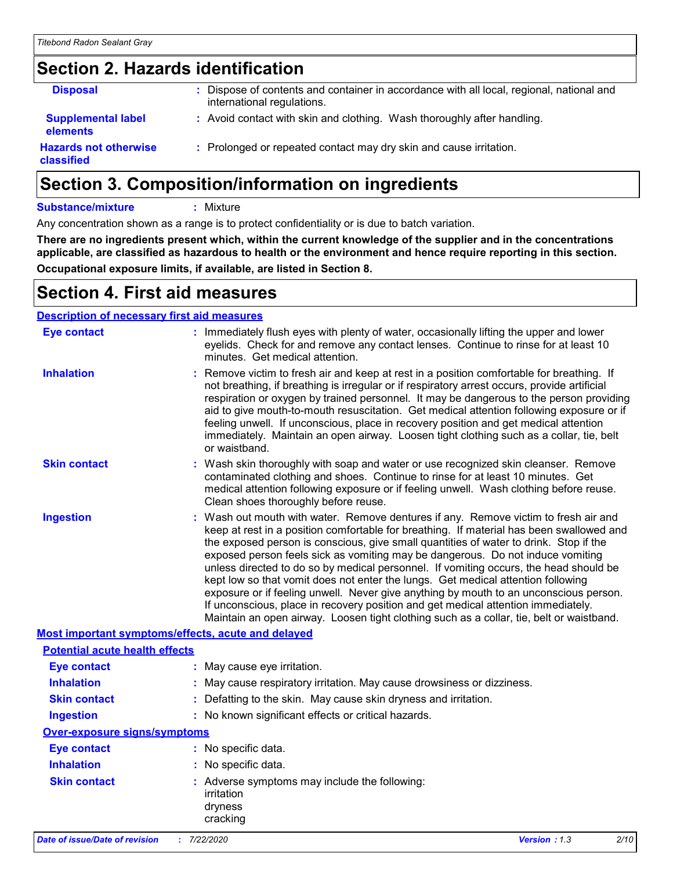# **Section 2. Hazards identification**

| <b>Disposal</b>                              | Dispose of contents and container in accordance with all local, regional, national and<br>international regulations. |
|----------------------------------------------|----------------------------------------------------------------------------------------------------------------------|
| <b>Supplemental label</b><br><b>elements</b> | : Avoid contact with skin and clothing. Wash thoroughly after handling.                                              |
| <b>Hazards not otherwise</b><br>classified   | : Prolonged or repeated contact may dry skin and cause irritation.                                                   |

# **Section 3. Composition/information on ingredients**

**Substance/mixture :** Mixture

Any concentration shown as a range is to protect confidentiality or is due to batch variation.

**There are no ingredients present which, within the current knowledge of the supplier and in the concentrations applicable, are classified as hazardous to health or the environment and hence require reporting in this section. Occupational exposure limits, if available, are listed in Section 8.**

# **Section 4. First aid measures**

### **Description of necessary first aid measures**

| <b>Date of issue/Date of revision</b> | : 7/22/2020<br>2/10<br><b>Version: 1.3</b>                                                                                                                                                                                                                                                                                                                                                                                                                                                                                                                                                                                                                                                                                                                                                                        |
|---------------------------------------|-------------------------------------------------------------------------------------------------------------------------------------------------------------------------------------------------------------------------------------------------------------------------------------------------------------------------------------------------------------------------------------------------------------------------------------------------------------------------------------------------------------------------------------------------------------------------------------------------------------------------------------------------------------------------------------------------------------------------------------------------------------------------------------------------------------------|
| <b>Skin contact</b>                   | : Adverse symptoms may include the following:<br>irritation<br>dryness<br>cracking                                                                                                                                                                                                                                                                                                                                                                                                                                                                                                                                                                                                                                                                                                                                |
| <b>Inhalation</b>                     | : No specific data.                                                                                                                                                                                                                                                                                                                                                                                                                                                                                                                                                                                                                                                                                                                                                                                               |
| <b>Eye contact</b>                    | : No specific data.                                                                                                                                                                                                                                                                                                                                                                                                                                                                                                                                                                                                                                                                                                                                                                                               |
| Over-exposure signs/symptoms          |                                                                                                                                                                                                                                                                                                                                                                                                                                                                                                                                                                                                                                                                                                                                                                                                                   |
| <b>Ingestion</b>                      | : No known significant effects or critical hazards.                                                                                                                                                                                                                                                                                                                                                                                                                                                                                                                                                                                                                                                                                                                                                               |
| <b>Skin contact</b>                   | : Defatting to the skin. May cause skin dryness and irritation.                                                                                                                                                                                                                                                                                                                                                                                                                                                                                                                                                                                                                                                                                                                                                   |
| <b>Inhalation</b>                     | : May cause respiratory irritation. May cause drowsiness or dizziness.                                                                                                                                                                                                                                                                                                                                                                                                                                                                                                                                                                                                                                                                                                                                            |
| <b>Eye contact</b>                    | : May cause eye irritation.                                                                                                                                                                                                                                                                                                                                                                                                                                                                                                                                                                                                                                                                                                                                                                                       |
| <b>Potential acute health effects</b> |                                                                                                                                                                                                                                                                                                                                                                                                                                                                                                                                                                                                                                                                                                                                                                                                                   |
|                                       | Most important symptoms/effects, acute and delayed                                                                                                                                                                                                                                                                                                                                                                                                                                                                                                                                                                                                                                                                                                                                                                |
| <b>Ingestion</b>                      | : Wash out mouth with water. Remove dentures if any. Remove victim to fresh air and<br>keep at rest in a position comfortable for breathing. If material has been swallowed and<br>the exposed person is conscious, give small quantities of water to drink. Stop if the<br>exposed person feels sick as vomiting may be dangerous. Do not induce vomiting<br>unless directed to do so by medical personnel. If vomiting occurs, the head should be<br>kept low so that vomit does not enter the lungs. Get medical attention following<br>exposure or if feeling unwell. Never give anything by mouth to an unconscious person.<br>If unconscious, place in recovery position and get medical attention immediately.<br>Maintain an open airway. Loosen tight clothing such as a collar, tie, belt or waistband. |
| <b>Skin contact</b>                   | : Wash skin thoroughly with soap and water or use recognized skin cleanser. Remove<br>contaminated clothing and shoes. Continue to rinse for at least 10 minutes. Get<br>medical attention following exposure or if feeling unwell. Wash clothing before reuse.<br>Clean shoes thoroughly before reuse.                                                                                                                                                                                                                                                                                                                                                                                                                                                                                                           |
| <b>Inhalation</b>                     | Remove victim to fresh air and keep at rest in a position comfortable for breathing. If<br>not breathing, if breathing is irregular or if respiratory arrest occurs, provide artificial<br>respiration or oxygen by trained personnel. It may be dangerous to the person providing<br>aid to give mouth-to-mouth resuscitation. Get medical attention following exposure or if<br>feeling unwell. If unconscious, place in recovery position and get medical attention<br>immediately. Maintain an open airway. Loosen tight clothing such as a collar, tie, belt<br>or waistband.                                                                                                                                                                                                                                |
| <b>Eye contact</b>                    | : Immediately flush eyes with plenty of water, occasionally lifting the upper and lower<br>eyelids. Check for and remove any contact lenses. Continue to rinse for at least 10<br>minutes. Get medical attention.                                                                                                                                                                                                                                                                                                                                                                                                                                                                                                                                                                                                 |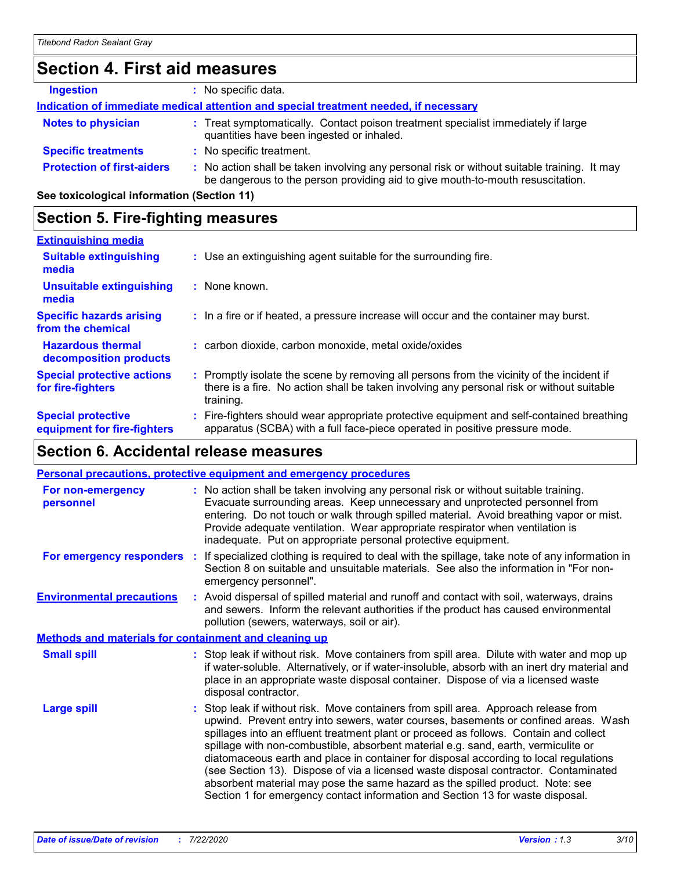# **Section 4. First aid measures**

| <b>Ingestion</b>                  | No specific data.                                                                                                                                                             |
|-----------------------------------|-------------------------------------------------------------------------------------------------------------------------------------------------------------------------------|
|                                   | Indication of immediate medical attention and special treatment needed, if necessary                                                                                          |
| <b>Notes to physician</b>         | : Treat symptomatically. Contact poison treatment specialist immediately if large<br>quantities have been ingested or inhaled.                                                |
| <b>Specific treatments</b>        | : No specific treatment.                                                                                                                                                      |
| <b>Protection of first-aiders</b> | : No action shall be taken involving any personal risk or without suitable training. It may<br>be dangerous to the person providing aid to give mouth-to-mouth resuscitation. |
|                                   |                                                                                                                                                                               |

**See toxicological information (Section 11)**

## **Section 5. Fire-fighting measures**

| <b>Extinguishing media</b>                               |                                                                                                                                                                                                     |
|----------------------------------------------------------|-----------------------------------------------------------------------------------------------------------------------------------------------------------------------------------------------------|
| <b>Suitable extinguishing</b><br>media                   | : Use an extinguishing agent suitable for the surrounding fire.                                                                                                                                     |
| <b>Unsuitable extinguishing</b><br>media                 | : None known.                                                                                                                                                                                       |
| <b>Specific hazards arising</b><br>from the chemical     | : In a fire or if heated, a pressure increase will occur and the container may burst.                                                                                                               |
| <b>Hazardous thermal</b><br>decomposition products       | : carbon dioxide, carbon monoxide, metal oxide/oxides                                                                                                                                               |
| <b>Special protective actions</b><br>for fire-fighters   | : Promptly isolate the scene by removing all persons from the vicinity of the incident if<br>there is a fire. No action shall be taken involving any personal risk or without suitable<br>training. |
| <b>Special protective</b><br>equipment for fire-fighters | : Fire-fighters should wear appropriate protective equipment and self-contained breathing<br>apparatus (SCBA) with a full face-piece operated in positive pressure mode.                            |

# **Section 6. Accidental release measures**

|                                                              | Personal precautions, protective equipment and emergency procedures                                                                                                                                                                                                                                                                                                                                                                                                                                                                                                                                                                                                                                          |
|--------------------------------------------------------------|--------------------------------------------------------------------------------------------------------------------------------------------------------------------------------------------------------------------------------------------------------------------------------------------------------------------------------------------------------------------------------------------------------------------------------------------------------------------------------------------------------------------------------------------------------------------------------------------------------------------------------------------------------------------------------------------------------------|
| For non-emergency<br>personnel                               | : No action shall be taken involving any personal risk or without suitable training.<br>Evacuate surrounding areas. Keep unnecessary and unprotected personnel from<br>entering. Do not touch or walk through spilled material. Avoid breathing vapor or mist.<br>Provide adequate ventilation. Wear appropriate respirator when ventilation is<br>inadequate. Put on appropriate personal protective equipment.                                                                                                                                                                                                                                                                                             |
|                                                              | For emergency responders : If specialized clothing is required to deal with the spillage, take note of any information in<br>Section 8 on suitable and unsuitable materials. See also the information in "For non-<br>emergency personnel".                                                                                                                                                                                                                                                                                                                                                                                                                                                                  |
| <b>Environmental precautions</b>                             | : Avoid dispersal of spilled material and runoff and contact with soil, waterways, drains<br>and sewers. Inform the relevant authorities if the product has caused environmental<br>pollution (sewers, waterways, soil or air).                                                                                                                                                                                                                                                                                                                                                                                                                                                                              |
| <b>Methods and materials for containment and cleaning up</b> |                                                                                                                                                                                                                                                                                                                                                                                                                                                                                                                                                                                                                                                                                                              |
| <b>Small spill</b>                                           | : Stop leak if without risk. Move containers from spill area. Dilute with water and mop up<br>if water-soluble. Alternatively, or if water-insoluble, absorb with an inert dry material and<br>place in an appropriate waste disposal container. Dispose of via a licensed waste<br>disposal contractor.                                                                                                                                                                                                                                                                                                                                                                                                     |
| <b>Large spill</b>                                           | : Stop leak if without risk. Move containers from spill area. Approach release from<br>upwind. Prevent entry into sewers, water courses, basements or confined areas. Wash<br>spillages into an effluent treatment plant or proceed as follows. Contain and collect<br>spillage with non-combustible, absorbent material e.g. sand, earth, vermiculite or<br>diatomaceous earth and place in container for disposal according to local regulations<br>(see Section 13). Dispose of via a licensed waste disposal contractor. Contaminated<br>absorbent material may pose the same hazard as the spilled product. Note: see<br>Section 1 for emergency contact information and Section 13 for waste disposal. |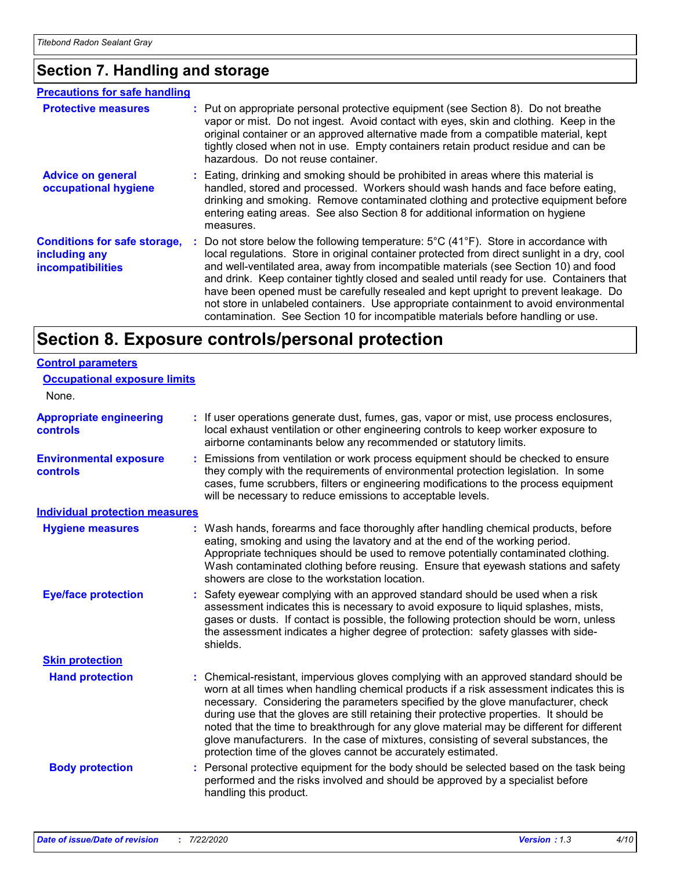## **Section 7. Handling and storage**

#### **Advice on general occupational hygiene Conditions for safe storage, including any incompatibilities** Eating, drinking and smoking should be prohibited in areas where this material is **:** handled, stored and processed. Workers should wash hands and face before eating, drinking and smoking. Remove contaminated clothing and protective equipment before entering eating areas. See also Section 8 for additional information on hygiene measures. **:** Do not store below the following temperature: 5°C (41°F). Store in accordance with local regulations. Store in original container protected from direct sunlight in a dry, cool and well-ventilated area, away from incompatible materials (see Section 10) and food and drink. Keep container tightly closed and sealed until ready for use. Containers that have been opened must be carefully resealed and kept upright to prevent leakage. Do not store in unlabeled containers. Use appropriate containment to avoid environmental contamination. See Section 10 for incompatible materials before handling or use. **Protective measures : Put on appropriate personal protective equipment (see Section 8). Do not breathe interaction of the original content of the atthe interaction of the atthe interaction of the atthe interaction of the** vapor or mist. Do not ingest. Avoid contact with eyes, skin and clothing. Keep in the original container or an approved alternative made from a compatible material, kept tightly closed when not in use. Empty containers retain product residue and can be hazardous. Do not reuse container. **Precautions for safe handling**

# **Section 8. Exposure controls/personal protection**

| <b>Control parameters</b>                  |    |                                                                                                                                                                                                                                                                                                                                                                                                                                                                                                                                                                                                                        |
|--------------------------------------------|----|------------------------------------------------------------------------------------------------------------------------------------------------------------------------------------------------------------------------------------------------------------------------------------------------------------------------------------------------------------------------------------------------------------------------------------------------------------------------------------------------------------------------------------------------------------------------------------------------------------------------|
| <b>Occupational exposure limits</b>        |    |                                                                                                                                                                                                                                                                                                                                                                                                                                                                                                                                                                                                                        |
| None.                                      |    |                                                                                                                                                                                                                                                                                                                                                                                                                                                                                                                                                                                                                        |
| <b>Appropriate engineering</b><br>controls |    | : If user operations generate dust, fumes, gas, vapor or mist, use process enclosures,<br>local exhaust ventilation or other engineering controls to keep worker exposure to<br>airborne contaminants below any recommended or statutory limits.                                                                                                                                                                                                                                                                                                                                                                       |
| <b>Environmental exposure</b><br>controls  | ÷. | Emissions from ventilation or work process equipment should be checked to ensure<br>they comply with the requirements of environmental protection legislation. In some<br>cases, fume scrubbers, filters or engineering modifications to the process equipment<br>will be necessary to reduce emissions to acceptable levels.                                                                                                                                                                                                                                                                                          |
| <b>Individual protection measures</b>      |    |                                                                                                                                                                                                                                                                                                                                                                                                                                                                                                                                                                                                                        |
| <b>Hygiene measures</b>                    |    | Wash hands, forearms and face thoroughly after handling chemical products, before<br>eating, smoking and using the lavatory and at the end of the working period.<br>Appropriate techniques should be used to remove potentially contaminated clothing.<br>Wash contaminated clothing before reusing. Ensure that eyewash stations and safety<br>showers are close to the workstation location.                                                                                                                                                                                                                        |
| <b>Eye/face protection</b>                 |    | Safety eyewear complying with an approved standard should be used when a risk<br>assessment indicates this is necessary to avoid exposure to liquid splashes, mists,<br>gases or dusts. If contact is possible, the following protection should be worn, unless<br>the assessment indicates a higher degree of protection: safety glasses with side-<br>shields.                                                                                                                                                                                                                                                       |
| <b>Skin protection</b>                     |    |                                                                                                                                                                                                                                                                                                                                                                                                                                                                                                                                                                                                                        |
| <b>Hand protection</b>                     |    | : Chemical-resistant, impervious gloves complying with an approved standard should be<br>worn at all times when handling chemical products if a risk assessment indicates this is<br>necessary. Considering the parameters specified by the glove manufacturer, check<br>during use that the gloves are still retaining their protective properties. It should be<br>noted that the time to breakthrough for any glove material may be different for different<br>glove manufacturers. In the case of mixtures, consisting of several substances, the<br>protection time of the gloves cannot be accurately estimated. |
| <b>Body protection</b>                     | ÷. | Personal protective equipment for the body should be selected based on the task being<br>performed and the risks involved and should be approved by a specialist before<br>handling this product.                                                                                                                                                                                                                                                                                                                                                                                                                      |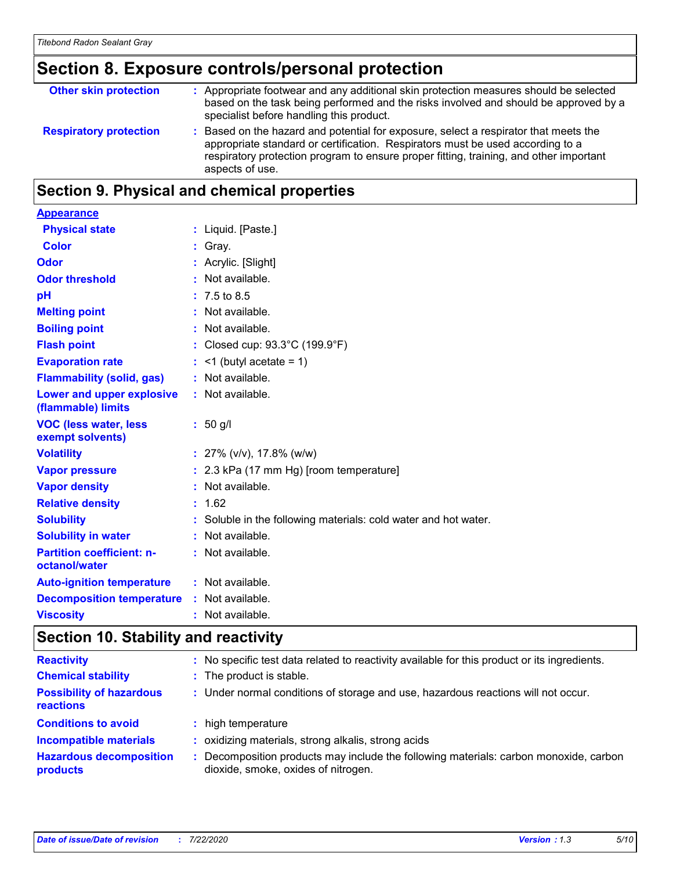# **Section 8. Exposure controls/personal protection**

| <b>Other skin protection</b>  | : Appropriate footwear and any additional skin protection measures should be selected<br>based on the task being performed and the risks involved and should be approved by a<br>specialist before handling this product.                                                           |
|-------------------------------|-------------------------------------------------------------------------------------------------------------------------------------------------------------------------------------------------------------------------------------------------------------------------------------|
| <b>Respiratory protection</b> | : Based on the hazard and potential for exposure, select a respirator that meets the<br>appropriate standard or certification. Respirators must be used according to a<br>respiratory protection program to ensure proper fitting, training, and other important<br>aspects of use. |

# **Section 9. Physical and chemical properties**

| <b>Appearance</b>                                 |                                                                 |
|---------------------------------------------------|-----------------------------------------------------------------|
| <b>Physical state</b>                             | : Liquid. [Paste.]                                              |
| <b>Color</b>                                      | : Gray.                                                         |
| <b>Odor</b>                                       | : Acrylic. [Slight]                                             |
| <b>Odor threshold</b>                             | : Not available.                                                |
| pH                                                | $: 7.5 \text{ to } 8.5$                                         |
| <b>Melting point</b>                              | : Not available.                                                |
| <b>Boiling point</b>                              | : Not available.                                                |
| <b>Flash point</b>                                | : Closed cup: 93.3°C (199.9°F)                                  |
| <b>Evaporation rate</b>                           | $:$ <1 (butyl acetate = 1)                                      |
| <b>Flammability (solid, gas)</b>                  | : Not available.                                                |
| Lower and upper explosive<br>(flammable) limits   | : Not available.                                                |
| <b>VOC (less water, less</b><br>exempt solvents)  | $: 50$ g/l                                                      |
| <b>Volatility</b>                                 | : $27\%$ (v/v), 17.8% (w/w)                                     |
| <b>Vapor pressure</b>                             | : 2.3 kPa (17 mm Hg) [room temperature]                         |
| <b>Vapor density</b>                              | : Not available.                                                |
| <b>Relative density</b>                           | : 1.62                                                          |
| <b>Solubility</b>                                 | : Soluble in the following materials: cold water and hot water. |
| <b>Solubility in water</b>                        | : Not available.                                                |
| <b>Partition coefficient: n-</b><br>octanol/water | : Not available.                                                |
| <b>Auto-ignition temperature</b>                  | : Not available.                                                |
| <b>Decomposition temperature</b>                  | : Not available.                                                |
| <b>Viscosity</b>                                  | : Not available.                                                |

# **Section 10. Stability and reactivity**

| <b>Reactivity</b>                            | : No specific test data related to reactivity available for this product or its ingredients.                                 |
|----------------------------------------------|------------------------------------------------------------------------------------------------------------------------------|
| <b>Chemical stability</b>                    | : The product is stable.                                                                                                     |
| <b>Possibility of hazardous</b><br>reactions | : Under normal conditions of storage and use, hazardous reactions will not occur.                                            |
| <b>Conditions to avoid</b>                   | : high temperature                                                                                                           |
| <b>Incompatible materials</b>                | : oxidizing materials, strong alkalis, strong acids                                                                          |
| <b>Hazardous decomposition</b><br>products   | : Decomposition products may include the following materials: carbon monoxide, carbon<br>dioxide, smoke, oxides of nitrogen. |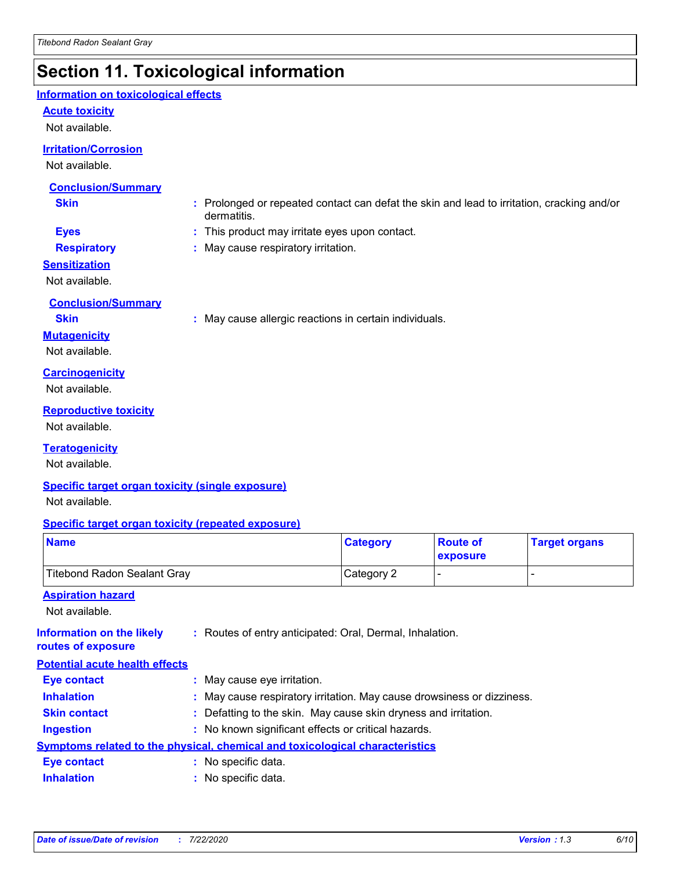# **Section 11. Toxicological information**

### **Information on toxicological effects**

### **Acute toxicity**

Not available.

### **Irritation/Corrosion**

Not available.

### **Conclusion/Summary**

- **Skin :** Prolonged or repeated contact can defat the skin and lead to irritation, cracking and/or dermatitis.
- **Eyes :** This product may irritate eyes upon contact.
- 
- **Respiratory :** May cause respiratory irritation.

### **Sensitization**

Not available.

### **Conclusion/Summary**

**Skin :** May cause allergic reactions in certain individuals.

### **Mutagenicity**

Not available.

### **Carcinogenicity**

Not available.

### **Reproductive toxicity**

Not available.

### **Teratogenicity**

Not available.

### **Specific target organ toxicity (single exposure)**

Not available.

### **Specific target organ toxicity (repeated exposure)**

| <b>Name</b>                                                                         |                                                     | <b>Category</b>                                                        | <b>Route of</b><br>exposure | <b>Target organs</b> |
|-------------------------------------------------------------------------------------|-----------------------------------------------------|------------------------------------------------------------------------|-----------------------------|----------------------|
| <b>Titebond Radon Sealant Gray</b>                                                  |                                                     | Category 2                                                             |                             |                      |
| <b>Aspiration hazard</b>                                                            |                                                     |                                                                        |                             |                      |
| Not available.                                                                      |                                                     |                                                                        |                             |                      |
| <b>Information on the likely</b><br>routes of exposure                              |                                                     | : Routes of entry anticipated: Oral, Dermal, Inhalation.               |                             |                      |
| <b>Potential acute health effects</b>                                               |                                                     |                                                                        |                             |                      |
| Eye contact                                                                         | : May cause eye irritation.                         |                                                                        |                             |                      |
| <b>Inhalation</b>                                                                   |                                                     | : May cause respiratory irritation. May cause drowsiness or dizziness. |                             |                      |
| <b>Skin contact</b>                                                                 |                                                     | : Defatting to the skin. May cause skin dryness and irritation.        |                             |                      |
| <b>Ingestion</b>                                                                    | : No known significant effects or critical hazards. |                                                                        |                             |                      |
| <b>Symptoms related to the physical, chemical and toxicological characteristics</b> |                                                     |                                                                        |                             |                      |
|                                                                                     |                                                     |                                                                        |                             |                      |

**Inhalation :** No specific data. **Eye contact :** No specific data.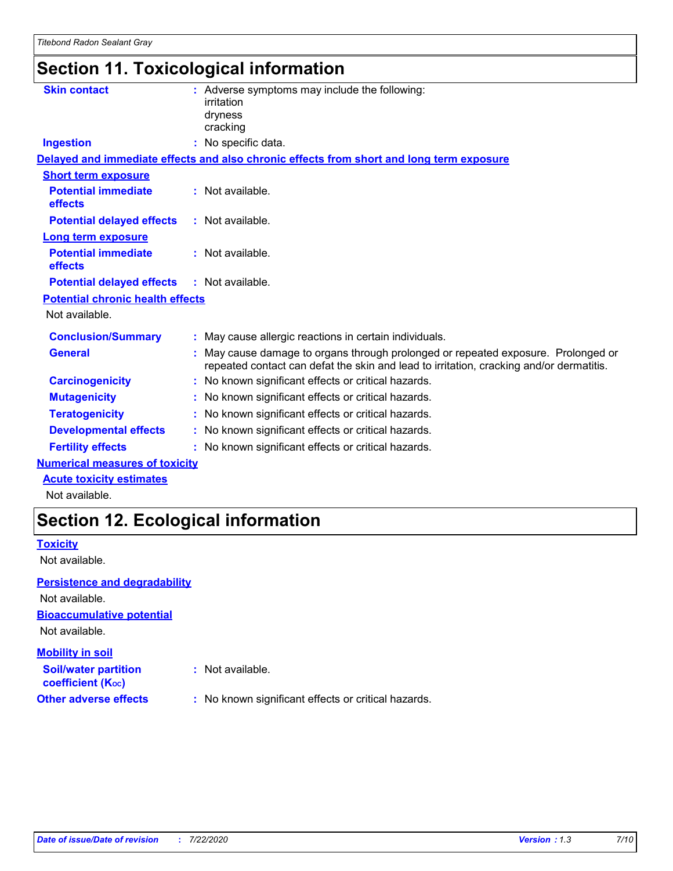# **Section 11. Toxicological information**

| <b>Skin contact</b>                          | : Adverse symptoms may include the following:<br>irritation<br>dryness<br>cracking                                                                                         |
|----------------------------------------------|----------------------------------------------------------------------------------------------------------------------------------------------------------------------------|
| <b>Ingestion</b>                             | : No specific data.                                                                                                                                                        |
|                                              | Delayed and immediate effects and also chronic effects from short and long term exposure                                                                                   |
| <b>Short term exposure</b>                   |                                                                                                                                                                            |
| <b>Potential immediate</b><br>effects        | $:$ Not available.                                                                                                                                                         |
| <b>Potential delayed effects</b>             | : Not available.                                                                                                                                                           |
| <b>Long term exposure</b>                    |                                                                                                                                                                            |
| <b>Potential immediate</b><br><b>effects</b> | $:$ Not available.                                                                                                                                                         |
| <b>Potential delayed effects</b>             | : Not available.                                                                                                                                                           |
| <b>Potential chronic health effects</b>      |                                                                                                                                                                            |
| Not available.                               |                                                                                                                                                                            |
| <b>Conclusion/Summary</b>                    | : May cause allergic reactions in certain individuals.                                                                                                                     |
| <b>General</b>                               | May cause damage to organs through prolonged or repeated exposure. Prolonged or<br>repeated contact can defat the skin and lead to irritation, cracking and/or dermatitis. |
| <b>Carcinogenicity</b>                       | No known significant effects or critical hazards.                                                                                                                          |
| <b>Mutagenicity</b>                          | No known significant effects or critical hazards.                                                                                                                          |
| <b>Teratogenicity</b>                        | No known significant effects or critical hazards.                                                                                                                          |
| <b>Developmental effects</b>                 | : No known significant effects or critical hazards.                                                                                                                        |
| <b>Fertility effects</b>                     | : No known significant effects or critical hazards.                                                                                                                        |
| <b>Numerical measures of toxicity</b>        |                                                                                                                                                                            |
| <b>Acute toxicity estimates</b>              |                                                                                                                                                                            |

Not available.

# **Section 12. Ecological information**

### **Toxicity**

Not available.

### **Persistence and degradability**

**Bioaccumulative potential** Not available. **Soil/water partition Mobility in soil** Not available.

**coefficient (KOC)**

- **:** Not available.
- **Other adverse effects** : No known significant effects or critical hazards.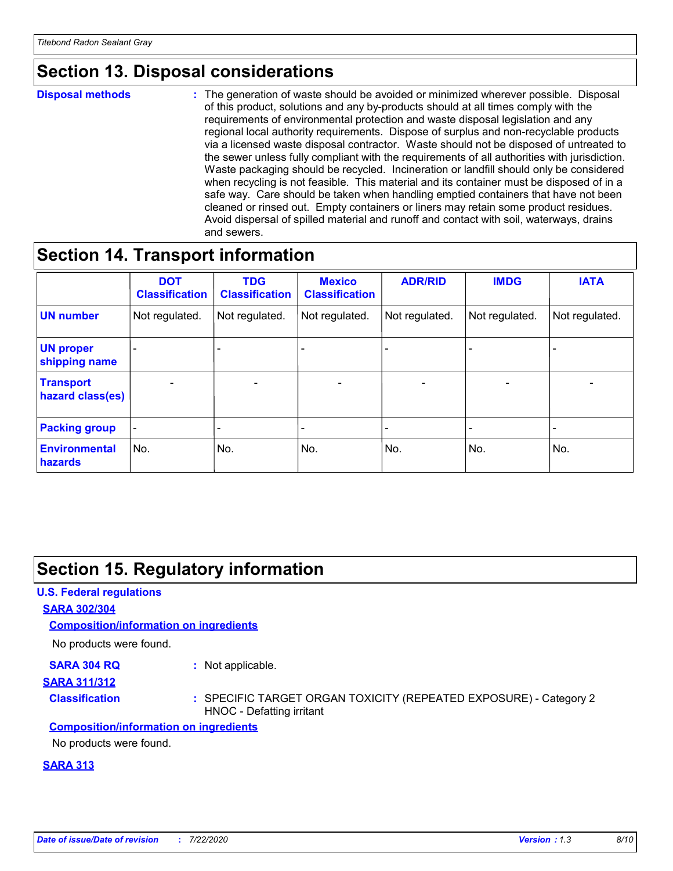# **Section 13. Disposal considerations**

#### **Disposal methods :**

The generation of waste should be avoided or minimized wherever possible. Disposal of this product, solutions and any by-products should at all times comply with the requirements of environmental protection and waste disposal legislation and any regional local authority requirements. Dispose of surplus and non-recyclable products via a licensed waste disposal contractor. Waste should not be disposed of untreated to the sewer unless fully compliant with the requirements of all authorities with jurisdiction. Waste packaging should be recycled. Incineration or landfill should only be considered when recycling is not feasible. This material and its container must be disposed of in a safe way. Care should be taken when handling emptied containers that have not been cleaned or rinsed out. Empty containers or liners may retain some product residues. Avoid dispersal of spilled material and runoff and contact with soil, waterways, drains and sewers.

# **Section 14. Transport information**

|                                      | <b>DOT</b><br><b>Classification</b> | <b>TDG</b><br><b>Classification</b> | <b>Mexico</b><br><b>Classification</b> | <b>ADR/RID</b>               | <b>IMDG</b>              | <b>IATA</b>              |
|--------------------------------------|-------------------------------------|-------------------------------------|----------------------------------------|------------------------------|--------------------------|--------------------------|
| <b>UN number</b>                     | Not regulated.                      | Not regulated.                      | Not regulated.                         | Not regulated.               | Not regulated.           | Not regulated.           |
| <b>UN proper</b><br>shipping name    |                                     |                                     |                                        |                              |                          |                          |
| <b>Transport</b><br>hazard class(es) | $\qquad \qquad \blacksquare$        | $\qquad \qquad$                     | $\qquad \qquad$                        | $\qquad \qquad \blacksquare$ | $\overline{\phantom{a}}$ | $\overline{\phantom{0}}$ |
| <b>Packing group</b>                 | $\qquad \qquad \blacksquare$        |                                     | -                                      |                              |                          |                          |
| <b>Environmental</b><br>hazards      | No.                                 | No.                                 | No.                                    | No.                          | No.                      | No.                      |

# **Section 15. Regulatory information**

### **U.S. Federal regulations**

### **SARA 302/304**

**Composition/information on ingredients**

No products were found.

### **SARA 304 RQ :** Not applicable.

### **SARA 311/312**

**Classification :** SPECIFIC TARGET ORGAN TOXICITY (REPEATED EXPOSURE) - Category 2 HNOC - Defatting irritant

### **Composition/information on ingredients**

No products were found.

### **SARA 313**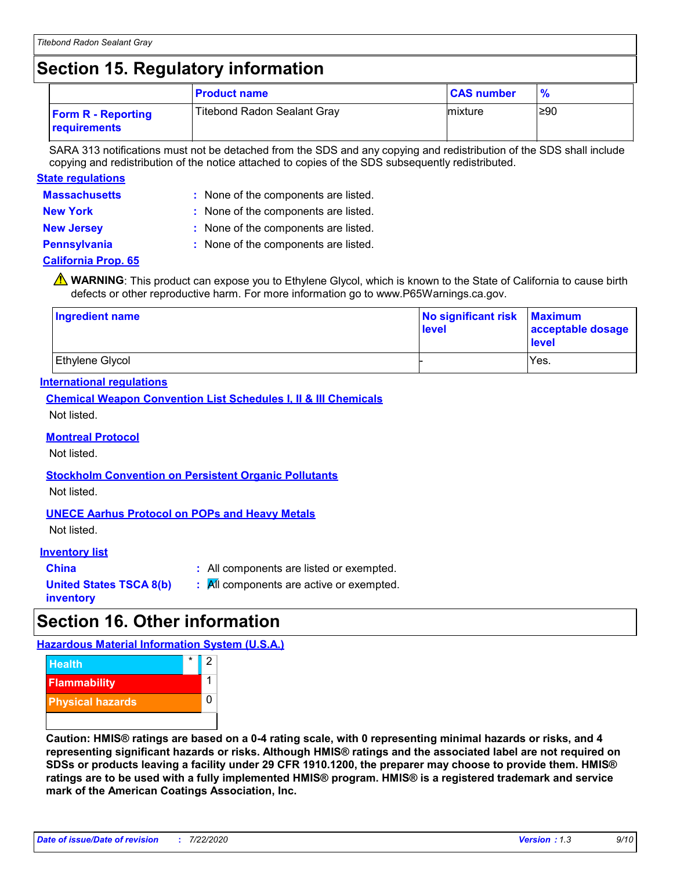# **Section 15. Regulatory information**

|                                           | <b>Product name</b>                | <b>CAS number</b> |      |
|-------------------------------------------|------------------------------------|-------------------|------|
| <b>Form R - Reporting</b><br>requirements | <b>Titebond Radon Sealant Gray</b> | mixture           | l≥90 |

SARA 313 notifications must not be detached from the SDS and any copying and redistribution of the SDS shall include copying and redistribution of the notice attached to copies of the SDS subsequently redistributed.

### **Massachusetts : State regulations**

| : None of the components are listed. |
|--------------------------------------|
|--------------------------------------|

**New York :** None of the components are listed.

- **New Jersey :** None of the components are listed.
- 
- **Pennsylvania :** None of the components are listed.

### **California Prop. 65**

**A** WARNING: This product can expose you to Ethylene Glycol, which is known to the State of California to cause birth defects or other reproductive harm. For more information go to www.P65Warnings.ca.gov.

| <b>Ingredient name</b> | No significant risk<br>level | <b>Maximum</b><br>acceptable dosage<br>level |  |
|------------------------|------------------------------|----------------------------------------------|--|
| <b>Ethylene Glycol</b> |                              | Yes.                                         |  |

### **International regulations**

**Chemical Weapon Convention List Schedules I, II & III Chemicals**

Not listed.

### **Montreal Protocol**

Not listed.

### **Stockholm Convention on Persistent Organic Pollutants**

Not listed.

### **UNECE Aarhus Protocol on POPs and Heavy Metals**

Not listed.

### **Inventory list**

**China :** All components are listed or exempted.

**United States TSCA 8(b) inventory**

**:** All components are active or exempted.

# **Section 16. Other information**

**Hazardous Material Information System (U.S.A.)**



**Caution: HMIS® ratings are based on a 0-4 rating scale, with 0 representing minimal hazards or risks, and 4 representing significant hazards or risks. Although HMIS® ratings and the associated label are not required on SDSs or products leaving a facility under 29 CFR 1910.1200, the preparer may choose to provide them. HMIS® ratings are to be used with a fully implemented HMIS® program. HMIS® is a registered trademark and service mark of the American Coatings Association, Inc.**